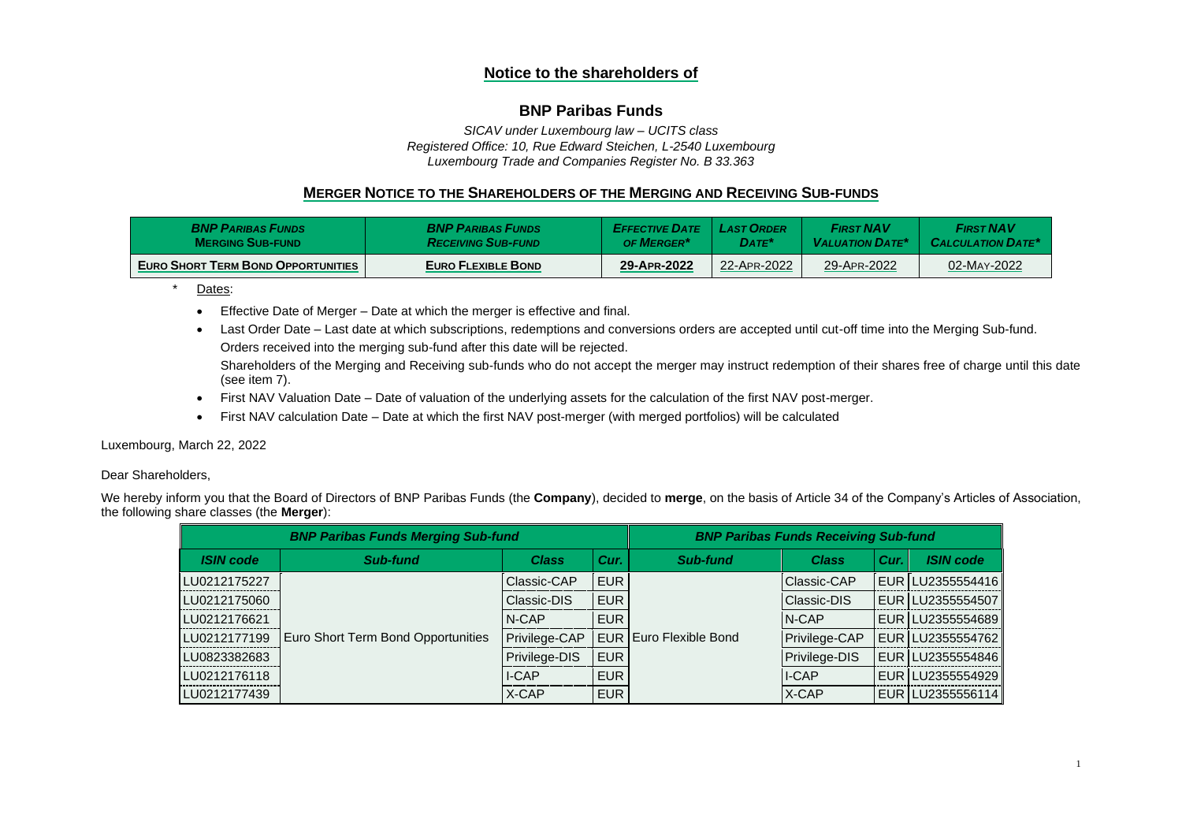# **Notice to the shareholders of**

# **BNP Paribas Funds**

*SICAV under Luxembourg law – UCITS class Registered Office: 10, Rue Edward Steichen, L-2540 Luxembourg Luxembourg Trade and Companies Register No. B 33.363*

# **MERGER NOTICE TO THE SHAREHOLDERS OF THE MERGING AND RECEIVING SUB-FUNDS**

| <b>BNP PARIBAS FUNDS</b>                  | <b>BNP PARIBAS FUNDS</b>  | <b>EFFECTIVE DATE</b> | <b>LAST ORDER</b> | <b>FIRST NAV</b>       | <b>FIRST NAV</b>         |
|-------------------------------------------|---------------------------|-----------------------|-------------------|------------------------|--------------------------|
| <b>MERGING SUB-FUND</b>                   | <b>RECEIVING SUB-FUND</b> | <b>OF MERGER</b>      | $\mathsf{DATE}^*$ | <b>VALUATION DATE*</b> | <b>CALCULATION DATE*</b> |
| <b>EURO SHORT TERM BOND OPPORTUNITIES</b> | EURO FLEXIBLE BOND        | 29-APR-2022           | 22-APR-2022       | 29-APR-2022            | 02-MAY-2022              |

\* Dates:

- Effective Date of Merger Date at which the merger is effective and final.
- Last Order Date Last date at which subscriptions, redemptions and conversions orders are accepted until cut-off time into the Merging Sub-fund. Orders received into the merging sub-fund after this date will be rejected.

Shareholders of the Merging and Receiving sub-funds who do not accept the merger may instruct redemption of their shares free of charge until this date (see item 7).

- First NAV Valuation Date Date of valuation of the underlying assets for the calculation of the first NAV post-merger.
- First NAV calculation Date Date at which the first NAV post-merger (with merged portfolios) will be calculated

Luxembourg, March 22, 2022

### Dear Shareholders,

We hereby inform you that the Board of Directors of BNP Paribas Funds (the **Company**), decided to **merge**, on the basis of Article 34 of the Company's Articles of Association, the following share classes (the **Merger**):

| <b>BNP Paribas Funds Merging Sub-fund</b> |                                    |                      |            | <b>BNP Paribas Funds Receiving Sub-fund</b> |                    |      |                   |
|-------------------------------------------|------------------------------------|----------------------|------------|---------------------------------------------|--------------------|------|-------------------|
| <b>ISIN</b> code                          | Sub-fund                           | <b>Class</b>         | Cur.       | Sub-fund                                    | <b>Class</b>       | Cur. | <b>ISIN code</b>  |
| LU0212175227                              | Euro Short Term Bond Opportunities | Classic-CAP          | <b>EUR</b> | <b>EUR Euro Flexible Bond</b>               | <b>Classic-CAP</b> |      | EUR  LU2355554416 |
| LU0212175060                              |                                    | <b>Classic-DIS</b>   | <b>EUR</b> |                                             | Classic-DIS        |      | EUR LU2355554507  |
| LU0212176621                              |                                    | <b>N-CAP</b>         | <b>EUR</b> |                                             | <b>N-CAP</b>       |      | EUR LU2355554689  |
| LU0212177199                              |                                    | Privilege-CAP        |            |                                             | Privilege-CAP      |      | EUR LU2355554762  |
| LU0823382683                              |                                    | <b>Privilege-DIS</b> | <b>EUR</b> |                                             | Privilege-DIS      |      | EUR LU2355554846  |
| LU0212176118                              |                                    | II-CAP               | <b>EUR</b> |                                             | II-CAP             |      | EUR LU2355554929  |
| LU0212177439                              |                                    | X-CAP                | <b>EUR</b> |                                             | $X-CAP$            |      | EUR LU2355556114  |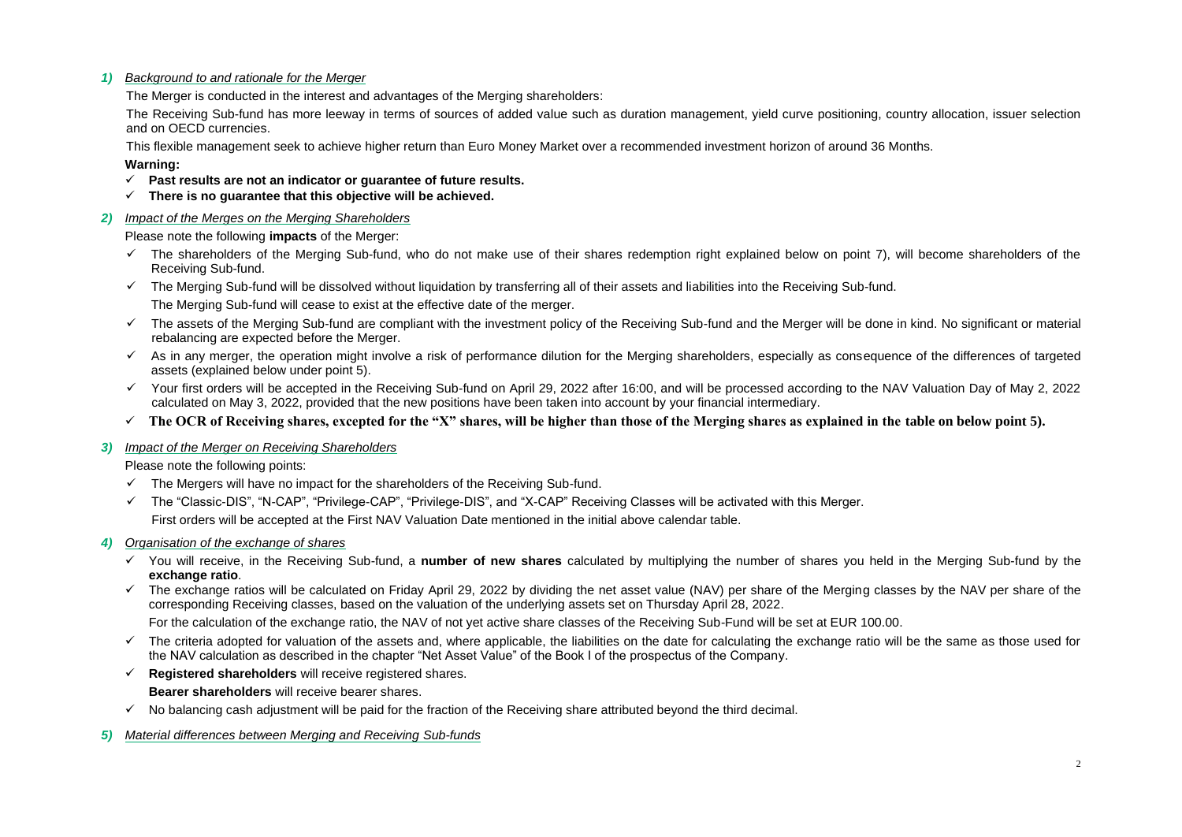#### *1) Background to and rationale for the Merger*

The Merger is conducted in the interest and advantages of the Merging shareholders:

The Receiving Sub-fund has more leeway in terms of sources of added value such as duration management, yield curve positioning, country allocation, issuer selection and on OECD currencies.

This flexible management seek to achieve higher return than Euro Money Market over a recommended investment horizon of around 36 Months.

### **Warning:**

- ✓ **Past results are not an indicator or guarantee of future results.**
- ✓ **There is no guarantee that this objective will be achieved.**

#### *2) Impact of the Merges on the Merging Shareholders*

Please note the following **impacts** of the Merger:

- $\checkmark$  The shareholders of the Merging Sub-fund, who do not make use of their shares redemption right explained below on point 7), will become shareholders of the Receiving Sub-fund.
- ✓ The Merging Sub-fund will be dissolved without liquidation by transferring all of their assets and liabilities into the Receiving Sub-fund. The Merging Sub-fund will cease to exist at the effective date of the merger.
- $\checkmark$  The assets of the Merging Sub-fund are compliant with the investment policy of the Receiving Sub-fund and the Merger will be done in kind. No significant or material rebalancing are expected before the Merger.
- $\checkmark$  As in any merger, the operation might involve a risk of performance dilution for the Merging shareholders, especially as consequence of the differences of targeted assets (explained below under point 5).
- $\checkmark$  Your first orders will be accepted in the Receiving Sub-fund on April 29, 2022 after 16:00, and will be processed according to the NAV Valuation Day of May 2, 2022 calculated on May 3, 2022, provided that the new positions have been taken into account by your financial intermediary.
- ✓ **The OCR of Receiving shares, excepted for the "X" shares, will be higher than those of the Merging shares as explained in the table on below point 5).**
- *3) Impact of the Merger on Receiving Shareholders*

Please note the following points:

- $\checkmark$  The Mergers will have no impact for the shareholders of the Receiving Sub-fund.
- ✓ The "Classic-DIS", "N-CAP", "Privilege-CAP", "Privilege-DIS", and "X-CAP" Receiving Classes will be activated with this Merger.

First orders will be accepted at the First NAV Valuation Date mentioned in the initial above calendar table.

- *4) Organisation of the exchange of shares*
	- ✓ You will receive, in the Receiving Sub-fund, a **number of new shares** calculated by multiplying the number of shares you held in the Merging Sub-fund by the **exchange ratio**.
	- $\checkmark$  The exchange ratios will be calculated on Friday April 29, 2022 by dividing the net asset value (NAV) per share of the Merging classes by the NAV per share of the corresponding Receiving classes, based on the valuation of the underlying assets set on Thursday April 28, 2022.

For the calculation of the exchange ratio, the NAV of not yet active share classes of the Receiving Sub-Fund will be set at EUR 100.00.

- $\checkmark$  The criteria adopted for valuation of the assets and, where applicable, the liabilities on the date for calculating the exchange ratio will be the same as those used for the NAV calculation as described in the chapter "Net Asset Value" of the Book I of the prospectus of the Company.
- ✓ **Registered shareholders** will receive registered shares.

**Bearer shareholders** will receive bearer shares.

- $\checkmark$  No balancing cash adjustment will be paid for the fraction of the Receiving share attributed beyond the third decimal.
- *5) Material differences between Merging and Receiving Sub-funds*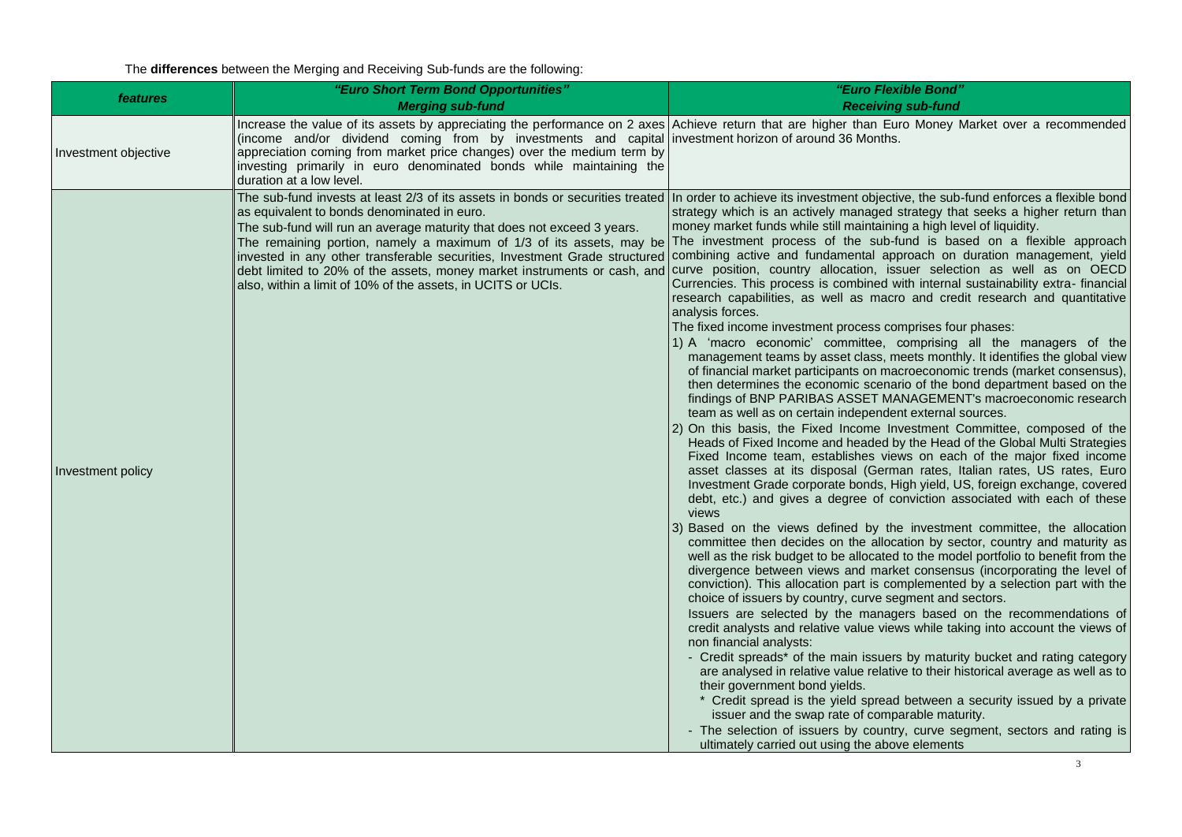The **differences** between the Merging and Receiving Sub-funds are the following:

| features             | "Euro Short Term Bond Opportunities"                                                                                                                                                                                                                                                | "Euro Flexible Bond"                                                                                                                                                                                                                                                                                                                                                                                                                                                                                                                                                                                                                                                                                                                                                                                                                                                                                                                                                                                                                                                                                                                                                                                                                                                                                                                                                                                                                                                                                                                                                                                                                                                                                                                                                                                                                                                                                                                                                                                                                                                                                                                                                                                                                                                                                                                                                                                                                                                                                                                                                                                                                                                                                                                                                                                                                                                                                                                                                                                                                                                                                                                         |
|----------------------|-------------------------------------------------------------------------------------------------------------------------------------------------------------------------------------------------------------------------------------------------------------------------------------|----------------------------------------------------------------------------------------------------------------------------------------------------------------------------------------------------------------------------------------------------------------------------------------------------------------------------------------------------------------------------------------------------------------------------------------------------------------------------------------------------------------------------------------------------------------------------------------------------------------------------------------------------------------------------------------------------------------------------------------------------------------------------------------------------------------------------------------------------------------------------------------------------------------------------------------------------------------------------------------------------------------------------------------------------------------------------------------------------------------------------------------------------------------------------------------------------------------------------------------------------------------------------------------------------------------------------------------------------------------------------------------------------------------------------------------------------------------------------------------------------------------------------------------------------------------------------------------------------------------------------------------------------------------------------------------------------------------------------------------------------------------------------------------------------------------------------------------------------------------------------------------------------------------------------------------------------------------------------------------------------------------------------------------------------------------------------------------------------------------------------------------------------------------------------------------------------------------------------------------------------------------------------------------------------------------------------------------------------------------------------------------------------------------------------------------------------------------------------------------------------------------------------------------------------------------------------------------------------------------------------------------------------------------------------------------------------------------------------------------------------------------------------------------------------------------------------------------------------------------------------------------------------------------------------------------------------------------------------------------------------------------------------------------------------------------------------------------------------------------------------------------------|
|                      | <b>Merging sub-fund</b>                                                                                                                                                                                                                                                             | <b>Receiving sub-fund</b>                                                                                                                                                                                                                                                                                                                                                                                                                                                                                                                                                                                                                                                                                                                                                                                                                                                                                                                                                                                                                                                                                                                                                                                                                                                                                                                                                                                                                                                                                                                                                                                                                                                                                                                                                                                                                                                                                                                                                                                                                                                                                                                                                                                                                                                                                                                                                                                                                                                                                                                                                                                                                                                                                                                                                                                                                                                                                                                                                                                                                                                                                                                    |
| Investment objective | (income and/or dividend coming from by investments and capital investment horizon of around 36 Months.<br>appreciation coming from market price changes) over the medium term by<br>investing primarily in euro denominated bonds while maintaining the<br>duration at a low level. | Increase the value of its assets by appreciating the performance on 2 axes Achieve return that are higher than Euro Money Market over a recommended                                                                                                                                                                                                                                                                                                                                                                                                                                                                                                                                                                                                                                                                                                                                                                                                                                                                                                                                                                                                                                                                                                                                                                                                                                                                                                                                                                                                                                                                                                                                                                                                                                                                                                                                                                                                                                                                                                                                                                                                                                                                                                                                                                                                                                                                                                                                                                                                                                                                                                                                                                                                                                                                                                                                                                                                                                                                                                                                                                                          |
| Investment policy    | as equivalent to bonds denominated in euro.<br>The sub-fund will run an average maturity that does not exceed 3 years.<br>also, within a limit of 10% of the assets, in UCITS or UCIs.                                                                                              | The sub-fund invests at least 2/3 of its assets in bonds or securities treated   In order to achieve its investment objective, the sub-fund enforces a flexible bond<br>strategy which is an actively managed strategy that seeks a higher return than<br>money market funds while still maintaining a high level of liquidity.<br>The remaining portion, namely a maximum of 1/3 of its assets, may be The investment process of the sub-fund is based on a flexible approach<br>invested in any other transferable securities, Investment Grade structured combining active and fundamental approach on duration management, yield<br>debt limited to 20% of the assets, money market instruments or cash, and curve position, country allocation, issuer selection as well as on OECD<br>Currencies. This process is combined with internal sustainability extra-financial<br>research capabilities, as well as macro and credit research and quantitative<br>analysis forces.<br>The fixed income investment process comprises four phases:<br>1) A 'macro economic' committee, comprising all the managers of the<br>management teams by asset class, meets monthly. It identifies the global view<br>of financial market participants on macroeconomic trends (market consensus),<br>then determines the economic scenario of the bond department based on the<br>findings of BNP PARIBAS ASSET MANAGEMENT's macroeconomic research<br>team as well as on certain independent external sources.<br>(2) On this basis, the Fixed Income Investment Committee, composed of the<br>Heads of Fixed Income and headed by the Head of the Global Multi Strategies<br>Fixed Income team, establishes views on each of the major fixed income<br>asset classes at its disposal (German rates, Italian rates, US rates, Euro<br>Investment Grade corporate bonds, High yield, US, foreign exchange, covered<br>debt, etc.) and gives a degree of conviction associated with each of these<br>views<br>3) Based on the views defined by the investment committee, the allocation<br>committee then decides on the allocation by sector, country and maturity as<br>well as the risk budget to be allocated to the model portfolio to benefit from the<br>divergence between views and market consensus (incorporating the level of<br>conviction). This allocation part is complemented by a selection part with the<br>choice of issuers by country, curve segment and sectors.<br>Issuers are selected by the managers based on the recommendations of<br>credit analysts and relative value views while taking into account the views of<br>non financial analysts:<br>- Credit spreads* of the main issuers by maturity bucket and rating category<br>are analysed in relative value relative to their historical average as well as to<br>their government bond yields.<br>* Credit spread is the yield spread between a security issued by a private<br>issuer and the swap rate of comparable maturity.<br>- The selection of issuers by country, curve segment, sectors and rating is<br>ultimately carried out using the above elements |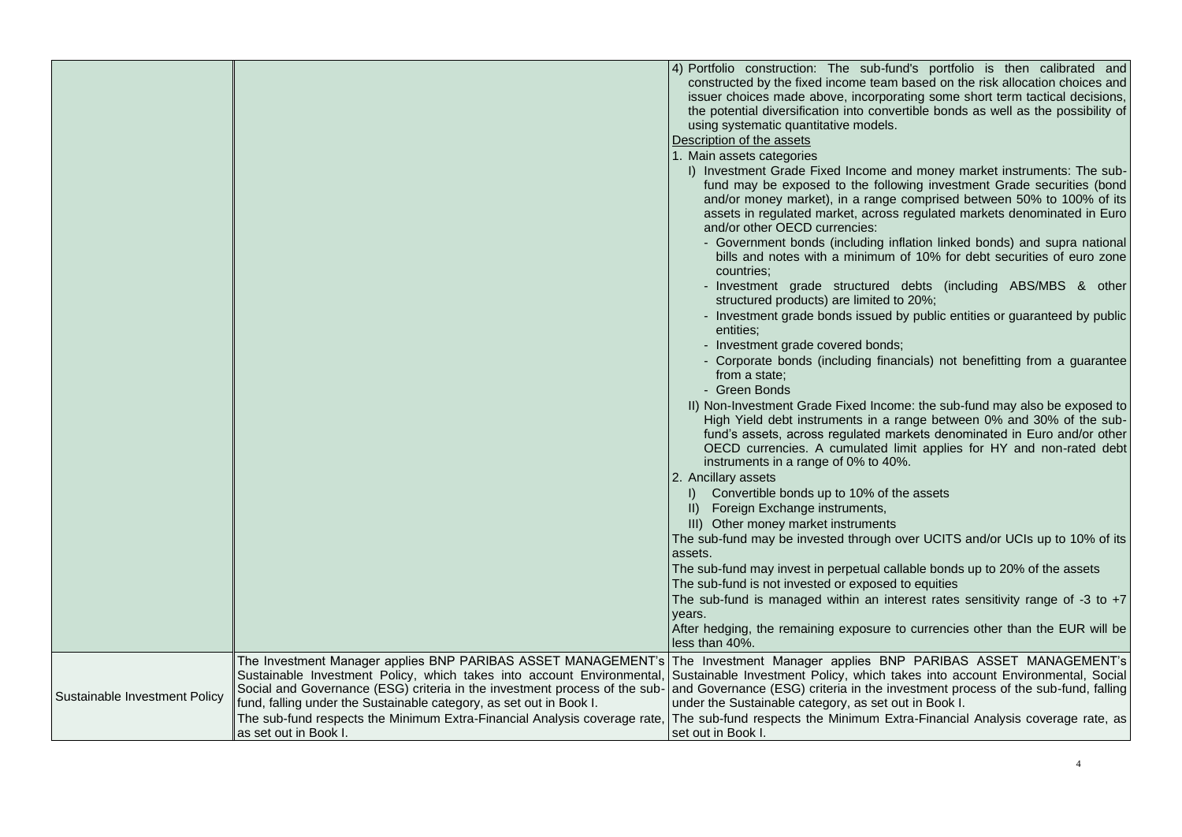|                               |                                                                                                                                                                                                                             | 4) Portfolio construction: The sub-fund's portfolio is then calibrated and<br>constructed by the fixed income team based on the risk allocation choices and<br>issuer choices made above, incorporating some short term tactical decisions,<br>the potential diversification into convertible bonds as well as the possibility of<br>using systematic quantitative models.<br>Description of the assets |
|-------------------------------|-----------------------------------------------------------------------------------------------------------------------------------------------------------------------------------------------------------------------------|---------------------------------------------------------------------------------------------------------------------------------------------------------------------------------------------------------------------------------------------------------------------------------------------------------------------------------------------------------------------------------------------------------|
|                               |                                                                                                                                                                                                                             | 1. Main assets categories                                                                                                                                                                                                                                                                                                                                                                               |
|                               |                                                                                                                                                                                                                             | I) Investment Grade Fixed Income and money market instruments: The sub-<br>fund may be exposed to the following investment Grade securities (bond<br>and/or money market), in a range comprised between 50% to 100% of its<br>assets in regulated market, across regulated markets denominated in Euro<br>and/or other OECD currencies:                                                                 |
|                               |                                                                                                                                                                                                                             | - Government bonds (including inflation linked bonds) and supra national<br>bills and notes with a minimum of 10% for debt securities of euro zone<br>countries:                                                                                                                                                                                                                                        |
|                               |                                                                                                                                                                                                                             | Investment grade structured debts (including ABS/MBS & other<br>structured products) are limited to 20%;                                                                                                                                                                                                                                                                                                |
|                               |                                                                                                                                                                                                                             | - Investment grade bonds issued by public entities or guaranteed by public<br>entities:                                                                                                                                                                                                                                                                                                                 |
|                               |                                                                                                                                                                                                                             | - Investment grade covered bonds;                                                                                                                                                                                                                                                                                                                                                                       |
|                               |                                                                                                                                                                                                                             | - Corporate bonds (including financials) not benefitting from a guarantee<br>from a state:                                                                                                                                                                                                                                                                                                              |
|                               |                                                                                                                                                                                                                             | - Green Bonds                                                                                                                                                                                                                                                                                                                                                                                           |
|                               |                                                                                                                                                                                                                             | II) Non-Investment Grade Fixed Income: the sub-fund may also be exposed to<br>High Yield debt instruments in a range between 0% and 30% of the sub-<br>fund's assets, across regulated markets denominated in Euro and/or other<br>OECD currencies. A cumulated limit applies for HY and non-rated debt<br>instruments in a range of 0% to 40%.                                                         |
|                               |                                                                                                                                                                                                                             | 2. Ancillary assets                                                                                                                                                                                                                                                                                                                                                                                     |
|                               |                                                                                                                                                                                                                             | I) Convertible bonds up to 10% of the assets                                                                                                                                                                                                                                                                                                                                                            |
|                               |                                                                                                                                                                                                                             | II) Foreign Exchange instruments,                                                                                                                                                                                                                                                                                                                                                                       |
|                               |                                                                                                                                                                                                                             | III) Other money market instruments                                                                                                                                                                                                                                                                                                                                                                     |
|                               |                                                                                                                                                                                                                             | The sub-fund may be invested through over UCITS and/or UCIs up to 10% of its<br>assets.                                                                                                                                                                                                                                                                                                                 |
|                               |                                                                                                                                                                                                                             | The sub-fund may invest in perpetual callable bonds up to 20% of the assets<br>The sub-fund is not invested or exposed to equities                                                                                                                                                                                                                                                                      |
|                               |                                                                                                                                                                                                                             | The sub-fund is managed within an interest rates sensitivity range of -3 to +7<br>years.                                                                                                                                                                                                                                                                                                                |
|                               |                                                                                                                                                                                                                             | After hedging, the remaining exposure to currencies other than the EUR will be<br>less than 40%.                                                                                                                                                                                                                                                                                                        |
| Sustainable Investment Policy | Sustainable Investment Policy, which takes into account Environmental,<br>Social and Governance (ESG) criteria in the investment process of the sub-<br>fund, falling under the Sustainable category, as set out in Book I. | The Investment Manager applies BNP PARIBAS ASSET MANAGEMENT's The Investment Manager applies BNP PARIBAS ASSET MANAGEMENT's<br>Sustainable Investment Policy, which takes into account Environmental, Social<br>and Governance (ESG) criteria in the investment process of the sub-fund, falling<br>under the Sustainable category, as set out in Book I.                                               |
|                               | The sub-fund respects the Minimum Extra-Financial Analysis coverage rate,<br>as set out in Book I.                                                                                                                          | The sub-fund respects the Minimum Extra-Financial Analysis coverage rate, as<br>set out in Book I.                                                                                                                                                                                                                                                                                                      |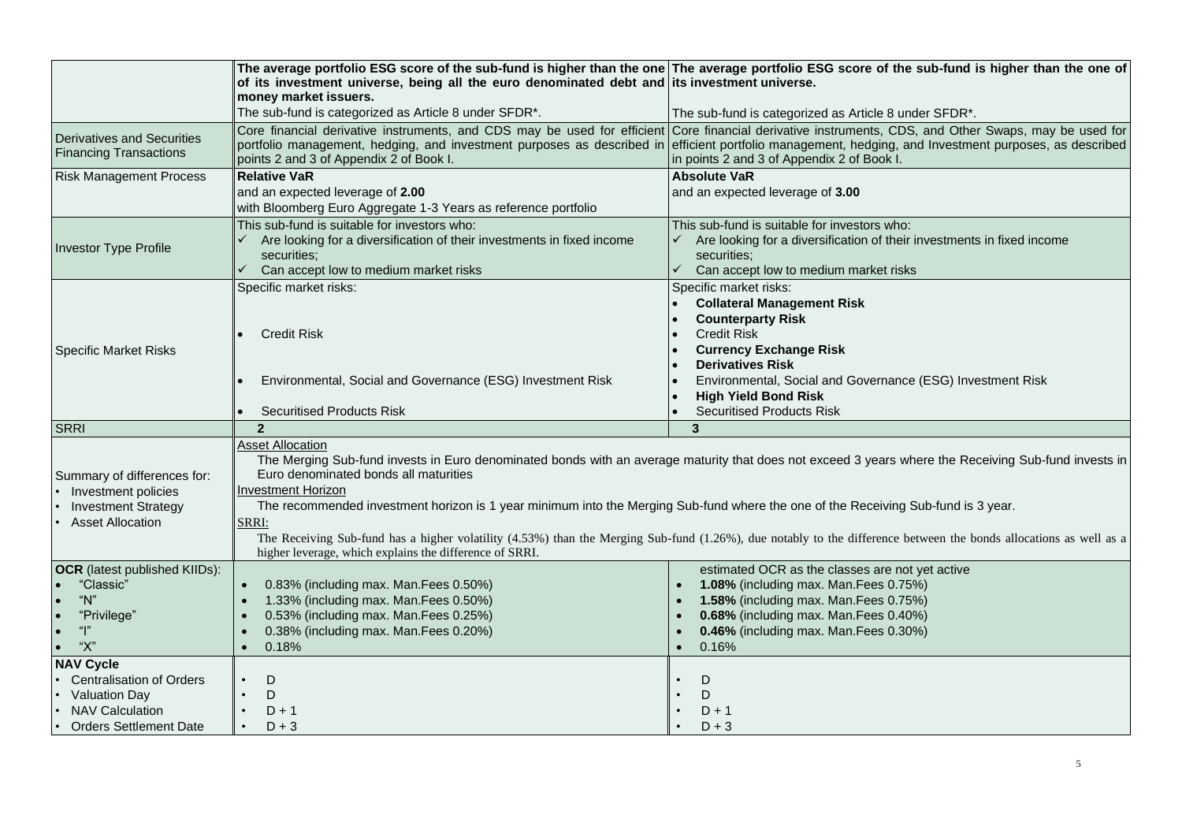|                                                                                                                                        | of its investment universe, being all the euro denominated debt and its investment universe.<br>money market issuers.                                                                                                                                                                                                                                                                                                                                                                                                                                                                                                         | The average portfolio ESG score of the sub-fund is higher than the one The average portfolio ESG score of the sub-fund is higher than the one of                                                                                                                                      |  |  |  |
|----------------------------------------------------------------------------------------------------------------------------------------|-------------------------------------------------------------------------------------------------------------------------------------------------------------------------------------------------------------------------------------------------------------------------------------------------------------------------------------------------------------------------------------------------------------------------------------------------------------------------------------------------------------------------------------------------------------------------------------------------------------------------------|---------------------------------------------------------------------------------------------------------------------------------------------------------------------------------------------------------------------------------------------------------------------------------------|--|--|--|
|                                                                                                                                        | The sub-fund is categorized as Article 8 under SFDR*.                                                                                                                                                                                                                                                                                                                                                                                                                                                                                                                                                                         | The sub-fund is categorized as Article 8 under SFDR*.                                                                                                                                                                                                                                 |  |  |  |
| Derivatives and Securities<br><b>Financing Transactions</b>                                                                            | portfolio management, hedging, and investment purposes as described in<br>points 2 and 3 of Appendix 2 of Book I.                                                                                                                                                                                                                                                                                                                                                                                                                                                                                                             | Core financial derivative instruments, and CDS may be used for efficient Core financial derivative instruments, CDS, and Other Swaps, may be used for<br>efficient portfolio management, hedging, and Investment purposes, as described<br>in points 2 and 3 of Appendix 2 of Book I. |  |  |  |
| <b>Risk Management Process</b>                                                                                                         | <b>Relative VaR</b>                                                                                                                                                                                                                                                                                                                                                                                                                                                                                                                                                                                                           | <b>Absolute VaR</b>                                                                                                                                                                                                                                                                   |  |  |  |
|                                                                                                                                        | and an expected leverage of 2.00<br>with Bloomberg Euro Aggregate 1-3 Years as reference portfolio                                                                                                                                                                                                                                                                                                                                                                                                                                                                                                                            | and an expected leverage of 3.00                                                                                                                                                                                                                                                      |  |  |  |
| <b>Investor Type Profile</b>                                                                                                           | This sub-fund is suitable for investors who:<br>Are looking for a diversification of their investments in fixed income<br>securities:<br>Can accept low to medium market risks                                                                                                                                                                                                                                                                                                                                                                                                                                                | This sub-fund is suitable for investors who:<br>Are looking for a diversification of their investments in fixed income<br>securities;<br>$\checkmark$<br>Can accept low to medium market risks                                                                                        |  |  |  |
|                                                                                                                                        | Specific market risks:<br><b>Credit Risk</b>                                                                                                                                                                                                                                                                                                                                                                                                                                                                                                                                                                                  | Specific market risks:<br><b>Collateral Management Risk</b><br><b>Counterparty Risk</b><br><b>Credit Risk</b>                                                                                                                                                                         |  |  |  |
| <b>Specific Market Risks</b>                                                                                                           | Environmental, Social and Governance (ESG) Investment Risk<br><b>Securitised Products Risk</b>                                                                                                                                                                                                                                                                                                                                                                                                                                                                                                                                | <b>Currency Exchange Risk</b><br><b>Derivatives Risk</b><br>Environmental, Social and Governance (ESG) Investment Risk<br><b>High Yield Bond Risk</b><br><b>Securitised Products Risk</b>                                                                                             |  |  |  |
| <b>SRRI</b>                                                                                                                            | $\overline{2}$                                                                                                                                                                                                                                                                                                                                                                                                                                                                                                                                                                                                                | 3                                                                                                                                                                                                                                                                                     |  |  |  |
| Summary of differences for:<br>Investment policies<br><b>Investment Strategy</b><br><b>Asset Allocation</b>                            | <b>Asset Allocation</b><br>The Merging Sub-fund invests in Euro denominated bonds with an average maturity that does not exceed 3 years where the Receiving Sub-fund invests in<br>Euro denominated bonds all maturities<br>Investment Horizon<br>The recommended investment horizon is 1 year minimum into the Merging Sub-fund where the one of the Receiving Sub-fund is 3 year.<br>SRRI:<br>The Receiving Sub-fund has a higher volatility (4.53%) than the Merging Sub-fund (1.26%), due notably to the difference between the bonds allocations as well as a<br>higher leverage, which explains the difference of SRRI. |                                                                                                                                                                                                                                                                                       |  |  |  |
| <b>OCR</b> (latest published KIIDs):<br>"Classic"<br>"N"<br>"Privilege"<br>"l"<br>"Х"                                                  | 0.83% (including max. Man. Fees 0.50%)<br>1.33% (including max. Man. Fees 0.50%)<br>0.53% (including max. Man. Fees 0.25%)<br>0.38% (including max. Man. Fees 0.20%)<br>$\bullet$<br>0.18%                                                                                                                                                                                                                                                                                                                                                                                                                                    | estimated OCR as the classes are not yet active<br>1.08% (including max. Man. Fees 0.75%)<br>$\bullet$<br>1.58% (including max. Man. Fees 0.75%)<br>0.68% (including max. Man.Fees 0.40%)<br>0.46% (including max. Man. Fees 0.30%)<br>$\bullet$<br>0.16%                             |  |  |  |
| <b>NAV Cycle</b><br><b>Centralisation of Orders</b><br><b>Valuation Day</b><br><b>NAV Calculation</b><br><b>Orders Settlement Date</b> | D<br>D<br>$D + 1$<br>$D + 3$                                                                                                                                                                                                                                                                                                                                                                                                                                                                                                                                                                                                  | D<br>D<br>$D + 1$<br>$D + 3$                                                                                                                                                                                                                                                          |  |  |  |